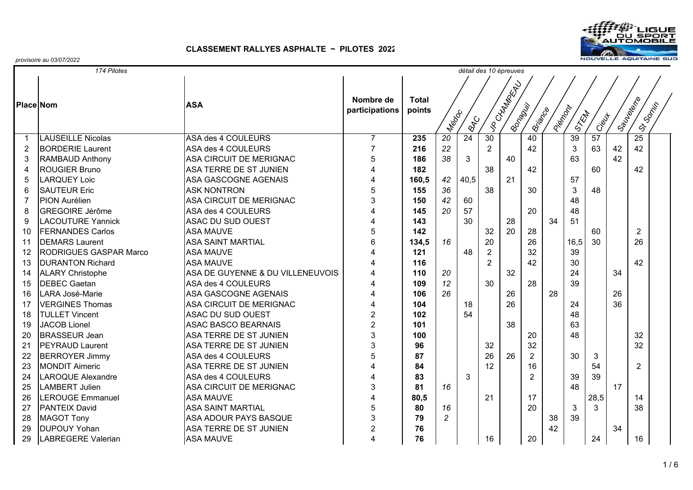

| 174 Pilotes<br>détail des 10 épreuves |                           |                                  |                         |              |                 |                 |                |                |                |          |                 |       |           |                 |  |
|---------------------------------------|---------------------------|----------------------------------|-------------------------|--------------|-----------------|-----------------|----------------|----------------|----------------|----------|-----------------|-------|-----------|-----------------|--|
|                                       |                           |                                  |                         | <b>Total</b> |                 |                 |                | VR CHATRON RD. |                |          |                 |       |           |                 |  |
| <b>Place Nom</b>                      |                           | <b>ASA</b>                       | Nombre de               |              |                 |                 |                |                |                |          |                 |       |           |                 |  |
|                                       |                           |                                  | participations          | points       |                 |                 |                |                |                |          |                 |       |           |                 |  |
|                                       |                           |                                  |                         |              | I Meggo         | <b>BRC</b>      |                | IBonawiji      | ISTIRADO       | Piercock | STRAT           | Ciewt | ISaurence | ISLS OCTIVE     |  |
| -1                                    | <b>LAUSEILLE Nicolas</b>  | ASA des 4 COULEURS               | $\overline{7}$          | 235          | $\overline{20}$ | $\overline{24}$ | 30             |                | 40             |          | $\overline{39}$ | 57    |           | $\overline{25}$ |  |
| $\overline{2}$                        | <b>BORDERIE Laurent</b>   | ASA des 4 COULEURS               | $\overline{7}$          | 216          | 22              |                 | $\overline{2}$ |                | 42             |          | 3               | 63    | 42        | 42              |  |
| 3                                     | RAMBAUD Anthony           | <b>ASA CIRCUIT DE MERIGNAC</b>   | 5                       | 186          | 38              | 3               |                | 40             |                |          | 63              |       | 42        |                 |  |
| $\overline{4}$                        | <b>ROUGIER Bruno</b>      | ASA TERRE DE ST JUNIEN           | $\overline{4}$          | 182          |                 |                 | 38             |                | 42             |          |                 | 60    |           | 42              |  |
| 5                                     | <b>LARQUEY Loic</b>       | <b>ASA GASCOGNE AGENAIS</b>      | $\overline{4}$          | 160,5        | 42              | 40,5            |                | 21             |                |          | 57              |       |           |                 |  |
| 6                                     | <b>SAUTEUR Eric</b>       | <b>ASK NONTRON</b>               | 5                       | 155          | 36              |                 | 38             |                | 30             |          | 3               | 48    |           |                 |  |
| $\overline{7}$                        | <b>PION Aurélien</b>      | <b>ASA CIRCUIT DE MERIGNAC</b>   | 3                       | 150          | 42              | 60              |                |                |                |          | 48              |       |           |                 |  |
| 8                                     | <b>GREGOIRE Jérôme</b>    | ASA des 4 COULEURS               | $\overline{4}$          | 145          | 20              | 57              |                |                | 20             |          | 48              |       |           |                 |  |
| 9                                     | <b>LACOUTURE Yannick</b>  | <b>ASAC DU SUD OUEST</b>         | $\overline{4}$          | 143          |                 | 30              |                | 28             |                | 34       | 51              |       |           |                 |  |
| 10                                    | <b>FERNANDES Carlos</b>   | <b>ASA MAUVE</b>                 | 5                       | 142          |                 |                 | 32             | 20             | 28             |          |                 | 60    |           | $\overline{2}$  |  |
| 11                                    | <b>DEMARS Laurent</b>     | <b>ASA SAINT MARTIAL</b>         | 6                       | 134,5        | 16              |                 | 20             |                | 26             |          | 16,5            | 30    |           | 26              |  |
| 12                                    | RODRIGUES GASPAR Marco    | <b>ASA MAUVE</b>                 | $\boldsymbol{\Delta}$   | 121          |                 | 48              | $\overline{2}$ |                | 32             |          | 39              |       |           |                 |  |
| 13                                    | <b>DURANTON Richard</b>   | <b>ASA MAUVE</b>                 | $\overline{4}$          | 116          |                 |                 | 2              |                | 42             |          | 30              |       |           | 42              |  |
| 14                                    | <b>ALARY Christophe</b>   | ASA DE GUYENNE & DU VILLENEUVOIS | $\overline{4}$          | 110          | 20              |                 |                | 32             |                |          | 24              |       | 34        |                 |  |
| 15                                    | <b>DEBEC Gaetan</b>       | ASA des 4 COULEURS               | 4                       | 109          | 12              |                 | 30             |                | 28             |          | 39              |       |           |                 |  |
| 16                                    | <b>LARA José-Marie</b>    | <b>ASA GASCOGNE AGENAIS</b>      | $\overline{4}$          | 106          | 26              |                 |                | 26             |                | 28       |                 |       | 26        |                 |  |
| 17                                    | <b>VERGINES Thomas</b>    | <b>ASA CIRCUIT DE MERIGNAC</b>   | $\overline{4}$          | 104          |                 | 18              |                | 26             |                |          | 24              |       | 36        |                 |  |
| 18                                    | <b>TULLET Vincent</b>     | <b>ASAC DU SUD OUEST</b>         | $\overline{2}$          | 102          |                 | 54              |                |                |                |          | 48              |       |           |                 |  |
| 19                                    | <b>JACOB Lionel</b>       | <b>ASAC BASCO BEARNAIS</b>       | $\overline{2}$          | 101          |                 |                 |                | 38             |                |          | 63              |       |           |                 |  |
| 20                                    | <b>BRASSEUR Jean</b>      | ASA TERRE DE ST JUNIEN           | $\sqrt{3}$              | 100          |                 |                 |                |                | 20             |          | 48              |       |           | 32              |  |
| 21                                    | <b>PEYRAUD Laurent</b>    | ASA TERRE DE ST JUNIEN           | 3                       | 96           |                 |                 | 32             |                | 32             |          |                 |       |           | 32              |  |
| 22                                    | <b>BERROYER Jimmy</b>     | ASA des 4 COULEURS               | $\overline{5}$          | 87           |                 |                 | 26             | 26             | $\overline{2}$ |          | 30              | 3     |           |                 |  |
| 23                                    | <b>MONDIT Aimeric</b>     | ASA TERRE DE ST JUNIEN           | $\overline{\mathbf{4}}$ | 84           |                 |                 | 12             |                | 16             |          |                 | 54    |           | $\overline{2}$  |  |
| 24                                    | <b>LAROQUE Alexandre</b>  | ASA des 4 COULEURS               | $\overline{4}$          | 83           |                 | 3               |                |                | $\overline{2}$ |          | 39              | 39    |           |                 |  |
| 25                                    | <b>LAMBERT Julien</b>     | ASA CIRCUIT DE MERIGNAC          | $\mathbf{3}$            | 81           | 16              |                 |                |                |                |          | 48              |       | 17        |                 |  |
| 26                                    | <b>LEROUGE Emmanuel</b>   | <b>ASA MAUVE</b>                 | $\overline{4}$          | 80,5         |                 |                 | 21             |                | 17             |          |                 | 28,5  |           | 14              |  |
| 27                                    | <b>PANTEIX David</b>      | <b>ASA SAINT MARTIAL</b>         | 5                       | 80           | 16              |                 |                |                | 20             |          | 3               | 3     |           | 38              |  |
| 28                                    | <b>MAGOT Tony</b>         | ASA ADOUR PAYS BASQUE            | $\overline{3}$          | 79           | $\overline{2}$  |                 |                |                |                | 38       | 39              |       |           |                 |  |
| 29                                    | <b>DUPOUY Yohan</b>       | ASA TERRE DE ST JUNIEN           | $\overline{2}$          | 76           |                 |                 |                |                |                | 42       |                 |       | 34        |                 |  |
| 29                                    | <b>LABREGERE Valerian</b> | <b>ASA MAUVE</b>                 | $\overline{4}$          | 76           |                 |                 | 16             |                | 20             |          |                 | 24    |           | 16              |  |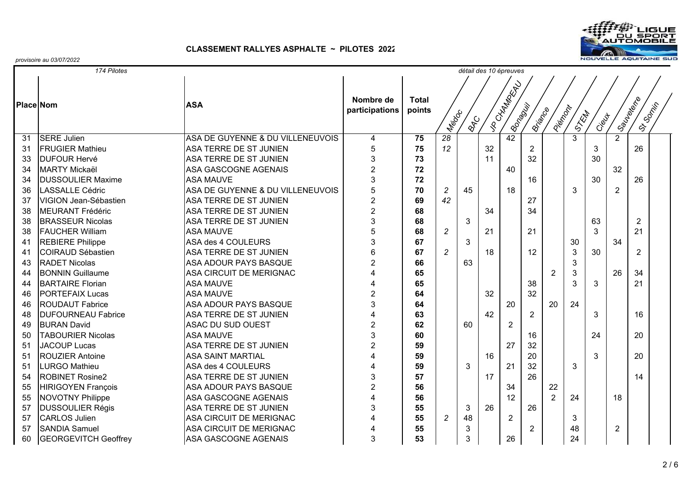

| 174 Pilotes<br>détail des 10 épreuves |                             |                                  |                             |                        |                |            |    |                             |                |                |                |       |                |                |  |
|---------------------------------------|-----------------------------|----------------------------------|-----------------------------|------------------------|----------------|------------|----|-----------------------------|----------------|----------------|----------------|-------|----------------|----------------|--|
|                                       |                             |                                  |                             |                        |                |            |    |                             |                |                |                |       |                |                |  |
| <b>Place Nom</b>                      |                             | <b>ASA</b>                       | Nombre de<br>participations | <b>Total</b><br>points | <b>Medic</b>   | <b>RYC</b> |    | I AD TAXABATA<br>IBonapolis | ISTIRACE       | Piercock       | S. KM          | Ciewt | Joseph's River | OS OOKING      |  |
| 31                                    | <b>SERE Julien</b>          | ASA DE GUYENNE & DU VILLENEUVOIS | $\overline{4}$              | 75                     | 28             |            |    | 42                          |                |                | $\overline{3}$ |       | $\overline{2}$ |                |  |
| 31                                    | <b>FRUGIER Mathieu</b>      | <b>ASA TERRE DE ST JUNIEN</b>    | 5                           | 75                     | 12             |            | 32 |                             | $\overline{2}$ |                |                | 3     |                | 26             |  |
| 33                                    | <b>DUFOUR Hervé</b>         | <b>ASA TERRE DE ST JUNIEN</b>    | 3                           | 73                     |                |            | 11 |                             | 32             |                |                | 30    |                |                |  |
| 34                                    | <b>MARTY Mickaël</b>        | <b>ASA GASCOGNE AGENAIS</b>      | $\overline{2}$              | 72                     |                |            |    | 40                          |                |                |                |       | 32             |                |  |
| 34                                    | <b>DUSSOULIER Maxime</b>    | <b>ASA MAUVE</b>                 | 3                           | 72                     |                |            |    |                             | 16             |                |                | 30    |                | 26             |  |
| 36                                    | <b>LASSALLE Cédric</b>      | ASA DE GUYENNE & DU VILLENEUVOIS | 5                           | 70                     | $\overline{2}$ | 45         |    | 18                          |                |                | 3              |       | $\overline{2}$ |                |  |
| 37                                    | VIGION Jean-Sébastien       | ASA TERRE DE ST JUNIEN           | $\overline{2}$              | 69                     | 42             |            |    |                             | 27             |                |                |       |                |                |  |
| 38                                    | MEURANT Frédéric            | ASA TERRE DE ST JUNIEN           | $\overline{2}$              | 68                     |                |            | 34 |                             | 34             |                |                |       |                |                |  |
| 38                                    | <b>BRASSEUR Nicolas</b>     | ASA TERRE DE ST JUNIEN           | 3                           | 68                     |                | 3          |    |                             |                |                |                | 63    |                | $\overline{2}$ |  |
| 38                                    | <b>FAUCHER William</b>      | <b>ASA MAUVE</b>                 | 5                           | 68                     | $\overline{c}$ |            | 21 |                             | 21             |                |                | 3     |                | 21             |  |
| 41                                    | <b>REBIERE Philippe</b>     | ASA des 4 COULEURS               | 3                           | 67                     |                | 3          |    |                             |                |                | 30             |       | 34             |                |  |
| 41                                    | COIRAUD Sébastien           | ASA TERRE DE ST JUNIEN           | 6                           | 67                     | $\overline{2}$ |            | 18 |                             | 12             |                | 3              | 30    |                | $\overline{2}$ |  |
| 43                                    | <b>RADET Nicolas</b>        | <b>ASA ADOUR PAYS BASQUE</b>     | $\overline{c}$              | 66                     |                | 63         |    |                             |                |                | 3              |       |                |                |  |
| 44                                    | <b>BONNIN Guillaume</b>     | <b>ASA CIRCUIT DE MERIGNAC</b>   | $\overline{4}$              | 65                     |                |            |    |                             |                | $\overline{2}$ | 3              |       | 26             | 34             |  |
| 44                                    | <b>BARTAIRE</b> Florian     | <b>ASA MAUVE</b>                 | $\overline{4}$              | 65                     |                |            |    |                             | 38             |                | 3              | 3     |                | 21             |  |
| 46                                    | <b>PORTEFAIX Lucas</b>      | <b>ASA MAUVE</b>                 | $\overline{c}$              | 64                     |                |            | 32 |                             | 32             |                |                |       |                |                |  |
| 46                                    | <b>ROUDAUT Fabrice</b>      | <b>ASA ADOUR PAYS BASQUE</b>     | 3                           | 64                     |                |            |    | 20                          |                | 20             | 24             |       |                |                |  |
| 48                                    | <b>DUFOURNEAU Fabrice</b>   | ASA TERRE DE ST JUNIEN           | $\overline{4}$              | 63                     |                |            | 42 |                             | 2              |                |                | 3     |                | 16             |  |
| 49                                    | <b>BURAN David</b>          | ASAC DU SUD OUEST                | $\overline{2}$              | 62                     |                | 60         |    | $\overline{2}$              |                |                |                |       |                |                |  |
| 50                                    | <b>TABOURIER Nicolas</b>    | <b>ASA MAUVE</b>                 | 3                           | 60                     |                |            |    |                             | 16             |                |                | 24    |                | 20             |  |
| 51                                    | <b>JACOUP Lucas</b>         | ASA TERRE DE ST JUNIEN           | $\overline{2}$              | 59                     |                |            |    | 27                          | 32             |                |                |       |                |                |  |
| 51                                    | <b>ROUZIER Antoine</b>      | <b>ASA SAINT MARTIAL</b>         | $\overline{4}$              | 59                     |                |            | 16 |                             | 20             |                |                | 3     |                | 20             |  |
| 51                                    | LURGO Mathieu               | ASA des 4 COULEURS               | $\overline{4}$              | 59                     |                | 3          |    | 21                          | 32             |                | 3              |       |                |                |  |
| 54                                    | <b>ROBINET Rosine2</b>      | ASA TERRE DE ST JUNIEN           | 3                           | 57                     |                |            | 17 |                             | 26             |                |                |       |                | 14             |  |
| 55                                    | <b>HIRIGOYEN François</b>   | ASA ADOUR PAYS BASQUE            | $\overline{c}$              | 56                     |                |            |    | 34                          |                | 22             |                |       |                |                |  |
| 55                                    | <b>NOVOTNY Philippe</b>     | <b>ASA GASCOGNE AGENAIS</b>      | $\overline{4}$              | 56                     |                |            |    | 12                          |                | $\overline{2}$ | 24             |       | 18             |                |  |
| 57                                    | <b>DUSSOULIER Régis</b>     | ASA TERRE DE ST JUNIEN           | 3                           | 55                     |                | 3          | 26 |                             | 26             |                |                |       |                |                |  |
| 57                                    | <b>CARLOS Julien</b>        | ASA CIRCUIT DE MERIGNAC          | $\overline{4}$              | 55                     | 2              | 48         |    | $\overline{2}$              |                |                | 3              |       |                |                |  |
| 57                                    | <b>SANDIA Samuel</b>        | <b>ASA CIRCUIT DE MERIGNAC</b>   | $\overline{4}$              | 55                     |                | 3          |    |                             | $\overline{2}$ |                | 48             |       | $\overline{2}$ |                |  |
| 60                                    | <b>GEORGEVITCH Geoffrey</b> | ASA GASCOGNE AGENAIS             | 3                           | 53                     |                | 3          |    | 26                          |                |                | 24             |       |                |                |  |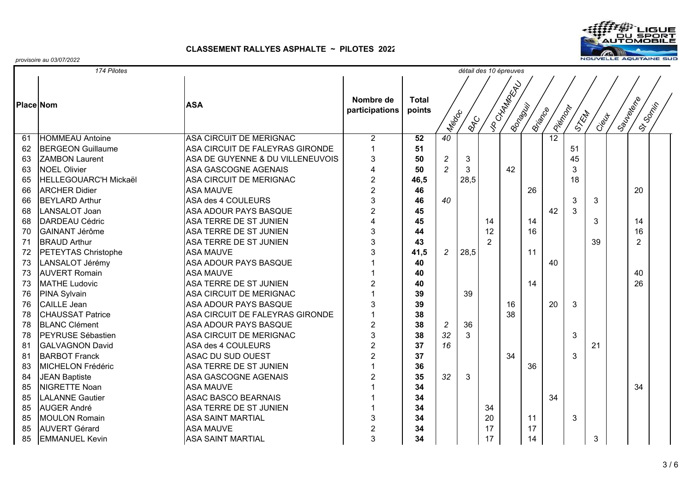

|    | 174 Pilotes                  |                                  |                             |                        |                      |            | détail des 10 épreuves |                            |          |              |      |       |                       |  |
|----|------------------------------|----------------------------------|-----------------------------|------------------------|----------------------|------------|------------------------|----------------------------|----------|--------------|------|-------|-----------------------|--|
|    |                              |                                  |                             |                        |                      |            |                        |                            |          |              |      |       |                       |  |
|    | <b>Place Nom</b>             | <b>ASA</b>                       | Nombre de<br>participations | <b>Total</b><br>points | IN <sub>RIG</sub> CC | <b>RAC</b> |                        | VR CHATRON RD.<br>IBonagoi | ISTIRACE | I listración | STEW | Cieut | ISOUNDER<br>IS-Social |  |
| 61 | <b>HOMMEAU Antoine</b>       | <b>ASA CIRCUIT DE MERIGNAC</b>   | $\overline{2}$              | 52                     | 40                   |            |                        |                            |          | 12           |      |       |                       |  |
| 62 | <b>BERGEON Guillaume</b>     | ASA CIRCUIT DE FALEYRAS GIRONDE  | $\mathbf 1$                 | 51                     |                      |            |                        |                            |          |              | 51   |       |                       |  |
| 63 | <b>ZAMBON Laurent</b>        | ASA DE GUYENNE & DU VILLENEUVOIS | 3                           | 50                     | 2                    | 3          |                        |                            |          |              | 45   |       |                       |  |
| 63 | <b>NOEL Olivier</b>          | ASA GASCOGNE AGENAIS             | 4                           | 50                     | $\overline{c}$       | 3          |                        | 42                         |          |              | 3    |       |                       |  |
| 65 | <b>HELLEGOUARC'H Mickaël</b> | ASA CIRCUIT DE MERIGNAC          | $\overline{2}$              | 46,5                   |                      | 28,5       |                        |                            |          |              | 18   |       |                       |  |
| 66 | <b>ARCHER Didier</b>         | <b>ASA MAUVE</b>                 | $\overline{2}$              | 46                     |                      |            |                        |                            | 26       |              |      |       | 20                    |  |
| 66 | <b>BEYLARD Arthur</b>        | ASA des 4 COULEURS               | 3                           | 46                     | 40                   |            |                        |                            |          |              | 3    | 3     |                       |  |
| 68 | LANSALOT Joan                | ASA ADOUR PAYS BASQUE            | $\overline{c}$              | 45                     |                      |            |                        |                            |          | 42           | 3    |       |                       |  |
| 68 | DARDEAU Cédric               | ASA TERRE DE ST JUNIEN           | 4                           | 45                     |                      |            | 14                     |                            | 14       |              |      | 3     | 14                    |  |
| 70 | <b>GAINANT Jérôme</b>        | ASA TERRE DE ST JUNIEN           | 3                           | 44                     |                      |            | 12                     |                            | 16       |              |      |       | 16                    |  |
| 71 | <b>BRAUD Arthur</b>          | ASA TERRE DE ST JUNIEN           | 3                           | 43                     |                      |            | $\mathcal{P}$          |                            |          |              |      | 39    | $\overline{2}$        |  |
| 72 | <b>PETEYTAS Christophe</b>   | <b>ASA MAUVE</b>                 | 3                           | 41,5                   | $\overline{c}$       | 28,5       |                        |                            | 11       |              |      |       |                       |  |
| 73 | LANSALOT Jérémy              | ASA ADOUR PAYS BASQUE            |                             | 40                     |                      |            |                        |                            |          | 40           |      |       |                       |  |
| 73 | <b>AUVERT Romain</b>         | <b>ASA MAUVE</b>                 |                             | 40                     |                      |            |                        |                            |          |              |      |       | 40                    |  |
| 73 | <b>MATHE Ludovic</b>         | ASA TERRE DE ST JUNIEN           | $\overline{c}$              | 40                     |                      |            |                        |                            | 14       |              |      |       | 26                    |  |
| 76 | <b>PINA Sylvain</b>          | ASA CIRCUIT DE MERIGNAC          | $\overline{1}$              | 39                     |                      | 39         |                        |                            |          |              |      |       |                       |  |
| 76 | <b>CAILLE Jean</b>           | <b>ASA ADOUR PAYS BASQUE</b>     | 3                           | 39                     |                      |            |                        | 16                         |          | 20           | 3    |       |                       |  |
| 78 | <b>CHAUSSAT Patrice</b>      | ASA CIRCUIT DE FALEYRAS GIRONDE  |                             | 38                     |                      |            |                        | 38                         |          |              |      |       |                       |  |
| 78 | <b>BLANC Clément</b>         | <b>ASA ADOUR PAYS BASQUE</b>     | $\boldsymbol{2}$            | 38                     | $\overline{c}$       | 36         |                        |                            |          |              |      |       |                       |  |
| 78 | <b>IPEYRUSE Sébastien</b>    | ASA CIRCUIT DE MERIGNAC          | 3                           | 38                     | 32                   | 3          |                        |                            |          |              | 3    |       |                       |  |
| 81 | <b>GALVAGNON David</b>       | ASA des 4 COULEURS               | $\overline{2}$              | 37                     | 16                   |            |                        |                            |          |              |      | 21    |                       |  |
| 81 | <b>BARBOT Franck</b>         | <b>ASAC DU SUD OUEST</b>         | $\overline{2}$              | 37                     |                      |            |                        | 34                         |          |              | 3    |       |                       |  |
| 83 | MICHELON Frédéric            | ASA TERRE DE ST JUNIEN           | 1                           | 36                     |                      |            |                        |                            | 36       |              |      |       |                       |  |
| 84 | <b>JEAN Baptiste</b>         | <b>ASA GASCOGNE AGENAIS</b>      | $\overline{2}$              | 35                     | 32                   | 3          |                        |                            |          |              |      |       |                       |  |
| 85 | <b>NIGRETTE Noan</b>         | <b>ASA MAUVE</b>                 |                             | 34                     |                      |            |                        |                            |          |              |      |       | 34                    |  |
| 85 | <b>LALANNE Gautier</b>       | <b>ASAC BASCO BEARNAIS</b>       |                             | 34                     |                      |            |                        |                            |          | 34           |      |       |                       |  |
| 85 | <b>AUGER André</b>           | ASA TERRE DE ST JUNIEN           |                             | 34                     |                      |            | 34                     |                            |          |              |      |       |                       |  |
| 85 | <b>MOULON Romain</b>         | <b>ASA SAINT MARTIAL</b>         | 3                           | 34                     |                      |            | 20                     |                            | 11       |              | 3    |       |                       |  |
| 85 | <b>AUVERT Gérard</b>         | <b>ASA MAUVE</b>                 | $\overline{2}$              | 34                     |                      |            | 17                     |                            | 17       |              |      |       |                       |  |
| 85 | <b>EMMANUEL Kevin</b>        | <b>ASA SAINT MARTIAL</b>         | 3                           | 34                     |                      |            | 17                     |                            | 14       |              |      | 3     |                       |  |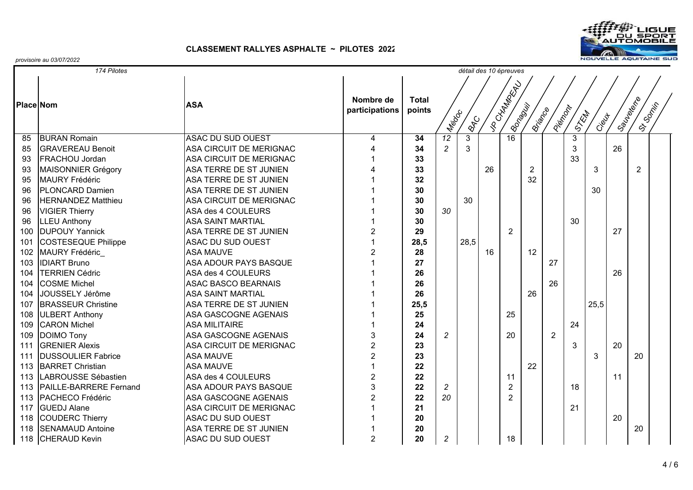

|     | 174 Pilotes                   |                               |                             |                        |                     |            | détail des 10 épreuves |                           |                |                |       |       |    |                               |  |
|-----|-------------------------------|-------------------------------|-----------------------------|------------------------|---------------------|------------|------------------------|---------------------------|----------------|----------------|-------|-------|----|-------------------------------|--|
|     | <b>Place Nom</b>              | <b>ASA</b>                    | Nombre de<br>participations | <b>Total</b><br>points | IN <sub>do</sub> co | <b>RAC</b> |                        | I vo CHAMBRAN<br>IBonapoi | ISTIRACE       | Pierzonz       | STRAT | Ciewt |    | ISaules (Britis)<br>IS-SORIES |  |
| 85  | <b>BURAN Romain</b>           | <b>ASAC DU SUD OUEST</b>      | 4                           | 34                     | $\overline{12}$     | 3          |                        | 16                        |                |                | 3     |       |    |                               |  |
| 85  | <b>GRAVEREAU Benoit</b>       | ASA CIRCUIT DE MERIGNAC       |                             | 34                     | $\overline{c}$      | 3          |                        |                           |                |                | 3     |       | 26 |                               |  |
| 93  | <b>FRACHOU Jordan</b>         | ASA CIRCUIT DE MERIGNAC       |                             | 33                     |                     |            |                        |                           |                |                | 33    |       |    |                               |  |
| 93  | MAISONNIER Grégory            | ASA TERRE DE ST JUNIEN        |                             | 33                     |                     |            | 26                     |                           | $\overline{2}$ |                |       | 3     |    | $\overline{2}$                |  |
| 95  | MAURY Frédéric                | ASA TERRE DE ST JUNIEN        |                             | 32                     |                     |            |                        |                           | 32             |                |       |       |    |                               |  |
| 96  | <b>IPLONCARD Damien</b>       | ASA TERRE DE ST JUNIEN        |                             | 30                     |                     |            |                        |                           |                |                |       | 30    |    |                               |  |
| 96  | <b>HERNANDEZ Matthieu</b>     | ASA CIRCUIT DE MERIGNAC       |                             | 30                     |                     | 30         |                        |                           |                |                |       |       |    |                               |  |
| 96  | <b>VIGIER Thierry</b>         | ASA des 4 COULEURS            |                             | 30                     | 30                  |            |                        |                           |                |                |       |       |    |                               |  |
| 96  | <b>LLEU Anthony</b>           | <b>ASA SAINT MARTIAL</b>      |                             | 30                     |                     |            |                        |                           |                |                | 30    |       |    |                               |  |
| 100 | <b>DUPOUY Yannick</b>         | <b>ASA TERRE DE ST JUNIEN</b> | $\overline{2}$              | 29                     |                     |            |                        | $\overline{2}$            |                |                |       |       | 27 |                               |  |
| 101 | <b>COSTESEQUE Philippe</b>    | <b>ASAC DU SUD OUEST</b>      |                             | 28,5                   |                     | 28,5       |                        |                           |                |                |       |       |    |                               |  |
| 102 | <b>MAURY Frédéric</b>         | <b>ASA MAUVE</b>              | $\overline{c}$              | 28                     |                     |            | 16                     |                           | 12             |                |       |       |    |                               |  |
| 103 | <b>IDIART Bruno</b>           | ASA ADOUR PAYS BASQUE         |                             | 27                     |                     |            |                        |                           |                | 27             |       |       |    |                               |  |
| 104 | <b>TERRIEN Cédric</b>         | ASA des 4 COULEURS            |                             | 26                     |                     |            |                        |                           |                |                |       |       | 26 |                               |  |
| 104 | <b>COSME</b> Michel           | <b>ASAC BASCO BEARNAIS</b>    |                             | 26                     |                     |            |                        |                           |                | 26             |       |       |    |                               |  |
| 104 | JOUSSELY Jérôme               | <b>ASA SAINT MARTIAL</b>      |                             | 26                     |                     |            |                        |                           | 26             |                |       |       |    |                               |  |
| 107 | <b>BRASSEUR Christine</b>     | <b>ASA TERRE DE ST JUNIEN</b> |                             | 25,5                   |                     |            |                        |                           |                |                |       | 25,5  |    |                               |  |
| 108 | <b>ULBERT Anthony</b>         | ASA GASCOGNE AGENAIS          |                             | 25                     |                     |            |                        | 25                        |                |                |       |       |    |                               |  |
| 109 | <b>CARON Michel</b>           | <b>ASA MILITAIRE</b>          |                             | 24                     |                     |            |                        |                           |                |                | 24    |       |    |                               |  |
| 109 | <b>DOIMO Tony</b>             | ASA GASCOGNE AGENAIS          | 3                           | 24                     | $\overline{c}$      |            |                        | 20                        |                | $\overline{2}$ |       |       |    |                               |  |
| 111 | <b>GRENIER Alexis</b>         | ASA CIRCUIT DE MERIGNAC       | $\overline{2}$              | 23                     |                     |            |                        |                           |                |                | 3     |       | 20 |                               |  |
| 111 | <b>DUSSOULIER Fabrice</b>     | <b>ASA MAUVE</b>              | $\overline{2}$              | 23                     |                     |            |                        |                           |                |                |       | 3     |    | 20                            |  |
| 113 | <b>BARRET Christian</b>       | <b>ASA MAUVE</b>              |                             | 22                     |                     |            |                        |                           | 22             |                |       |       |    |                               |  |
| 113 | LABROUSSE Sébastien           | ASA des 4 COULEURS            | $\overline{2}$              | 22                     |                     |            |                        | 11                        |                |                |       |       | 11 |                               |  |
| 113 | <b>PAILLE-BARRERE Fernand</b> | <b>ASA ADOUR PAYS BASQUE</b>  | 3                           | 22                     | $\overline{c}$      |            |                        | $\overline{2}$            |                |                | 18    |       |    |                               |  |
| 113 | PACHECO Frédéric              | ASA GASCOGNE AGENAIS          | $\overline{2}$              | 22                     | 20                  |            |                        | $\overline{2}$            |                |                |       |       |    |                               |  |
| 117 | <b>GUEDJ Alane</b>            | ASA CIRCUIT DE MERIGNAC       |                             | 21                     |                     |            |                        |                           |                |                | 21    |       |    |                               |  |
| 118 | COUDERC Thierry               | ASAC DU SUD OUEST             |                             | 20                     |                     |            |                        |                           |                |                |       |       | 20 |                               |  |
| 118 | <b>SENAMAUD Antoine</b>       | ASA TERRE DE ST JUNIEN        |                             | 20                     |                     |            |                        |                           |                |                |       |       |    | 20                            |  |
|     | 118 CHERAUD Kevin             | ASAC DU SUD OUEST             | $\overline{2}$              | 20                     | $\boldsymbol{2}$    |            |                        | 18                        |                |                |       |       |    |                               |  |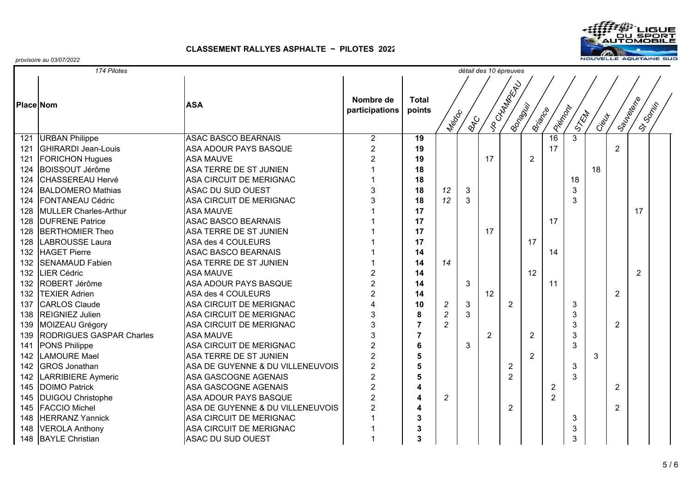

|                  | 174 Pilotes                     |                                  |                             |                        |                  |            | détail des 10 épreuves |                          |                |                |                |       |                |                |  |
|------------------|---------------------------------|----------------------------------|-----------------------------|------------------------|------------------|------------|------------------------|--------------------------|----------------|----------------|----------------|-------|----------------|----------------|--|
|                  |                                 |                                  |                             |                        |                  |            |                        |                          |                |                |                |       |                |                |  |
| <b>Place Nom</b> |                                 | <b>ASA</b>                       | Nombre de<br>participations | <b>Total</b><br>points | Medic            | <b>BRC</b> |                        | VR CHAMBRACK<br>IBonapci | ISTIRACE       | Icidrome       | ISTEMA         | Cieut | ISaulex (Riv   | IS-SORIES      |  |
| 121              | <b>URBAN Philippe</b>           | <b>ASAC BASCO BEARNAIS</b>       | $\overline{2}$              | $\overline{19}$        |                  |            |                        |                          |                | 16             | $\overline{3}$ |       |                |                |  |
| 121              | <b>GHIRARDI Jean-Louis</b>      | ASA ADOUR PAYS BASQUE            | $\overline{2}$              | 19                     |                  |            |                        |                          |                | 17             |                |       | $\overline{2}$ |                |  |
| 121              | <b>FORICHON Hugues</b>          | <b>ASA MAUVE</b>                 | $\overline{2}$              | 19                     |                  |            | 17                     |                          | $\overline{2}$ |                |                |       |                |                |  |
| 124              | <b>BOISSOUT Jérôme</b>          | ASA TERRE DE ST JUNIEN           |                             | 18                     |                  |            |                        |                          |                |                |                | 18    |                |                |  |
| 124              | CHASSEREAU Hervé                | ASA CIRCUIT DE MERIGNAC          | 1                           | 18                     |                  |            |                        |                          |                |                | 18             |       |                |                |  |
| 124              | <b>BALDOMERO Mathias</b>        | <b>ASAC DU SUD OUEST</b>         | 3                           | 18                     | 12               | 3          |                        |                          |                |                | 3              |       |                |                |  |
| 124              | <b>FONTANEAU Cédric</b>         | ASA CIRCUIT DE MERIGNAC          | 3                           | 18                     | 12               | 3          |                        |                          |                |                | 3              |       |                |                |  |
| 128              | <b>MULLER Charles-Arthur</b>    | <b>ASA MAUVE</b>                 |                             | 17                     |                  |            |                        |                          |                |                |                |       |                | 17             |  |
| 128              | <b>DUFRENE Patrice</b>          | <b>ASAC BASCO BEARNAIS</b>       |                             | 17                     |                  |            |                        |                          |                | 17             |                |       |                |                |  |
| 128              | <b>BERTHOMIER Theo</b>          | ASA TERRE DE ST JUNIEN           |                             | 17                     |                  |            | 17                     |                          |                |                |                |       |                |                |  |
| 128              | <b>LABROUSSE Laura</b>          | ASA des 4 COULEURS               |                             | 17                     |                  |            |                        |                          | 17             |                |                |       |                |                |  |
| 132              | <b>HAGET Pierre</b>             | <b>ASAC BASCO BEARNAIS</b>       |                             | 14                     |                  |            |                        |                          |                | 14             |                |       |                |                |  |
| 132              | <b>SENAMAUD Fabien</b>          | ASA TERRE DE ST JUNIEN           |                             | 14                     | 14               |            |                        |                          |                |                |                |       |                |                |  |
| 132              | LIER Cédric                     | <b>ASA MAUVE</b>                 | $\overline{2}$              | 14                     |                  |            |                        |                          | 12             |                |                |       |                | $\overline{2}$ |  |
| 132              | <b>ROBERT Jérôme</b>            | <b>ASA ADOUR PAYS BASQUE</b>     | $\overline{2}$              | 14                     |                  | 3          |                        |                          |                | 11             |                |       |                |                |  |
| 132              | <b>TEXIER Adrien</b>            | ASA des 4 COULEURS               | $\overline{2}$              | 14                     |                  |            | 12                     |                          |                |                |                |       | $\overline{2}$ |                |  |
| 137              | <b>CARLOS Claude</b>            | ASA CIRCUIT DE MERIGNAC          | $\overline{\mathbf{4}}$     | 10                     | $\boldsymbol{2}$ | 3          |                        | $\overline{2}$           |                |                | 3              |       |                |                |  |
| 138              | <b>REIGNIEZ Julien</b>          | ASA CIRCUIT DE MERIGNAC          | 3                           | 8                      | $\overline{c}$   | 3          |                        |                          |                |                | 3              |       |                |                |  |
| 139              | MOIZEAU Grégory                 | ASA CIRCUIT DE MERIGNAC          | 3                           | $\overline{7}$         | $\overline{c}$   |            |                        |                          |                |                | 3              |       | $\overline{2}$ |                |  |
| 139              | <b>RODRIGUES GASPAR Charles</b> | <b>ASA MAUVE</b>                 | 3                           | $\overline{7}$         |                  |            | $\overline{2}$         |                          | $\overline{2}$ |                | 3              |       |                |                |  |
| 141              | <b>PONS Philippe</b>            | <b>ASA CIRCUIT DE MERIGNAC</b>   | $\overline{2}$              | 6                      |                  | 3          |                        |                          |                |                | 3              |       |                |                |  |
| 142              | <b>LAMOURE Mael</b>             | ASA TERRE DE ST JUNIEN           | $\overline{2}$              | 5                      |                  |            |                        |                          | $\overline{2}$ |                |                | 3     |                |                |  |
| 142              | <b>GROS Jonathan</b>            | ASA DE GUYENNE & DU VILLENEUVOIS | $\overline{2}$              | 5                      |                  |            |                        | $\overline{c}$           |                |                | 3              |       |                |                |  |
| 142              | <b>LARRIBIERE Aymeric</b>       | ASA GASCOGNE AGENAIS             | $\overline{2}$              | 5                      |                  |            |                        | $\overline{2}$           |                |                | 3              |       |                |                |  |
| 145              | <b>DOIMO Patrick</b>            | ASA GASCOGNE AGENAIS             | $\overline{2}$              | 4                      |                  |            |                        |                          |                | $\overline{2}$ |                |       | 2              |                |  |
| 145              | <b>DUIGOU Christophe</b>        | <b>ASA ADOUR PAYS BASQUE</b>     | $\overline{2}$              | 4                      | $\overline{c}$   |            |                        |                          |                | $\overline{2}$ |                |       |                |                |  |
| 145              | <b>FACCIO Michel</b>            | ASA DE GUYENNE & DU VILLENEUVOIS | $\overline{2}$              | 4                      |                  |            |                        | $\overline{2}$           |                |                |                |       | $\overline{2}$ |                |  |
| 148              | <b>HERRANZ Yannick</b>          | ASA CIRCUIT DE MERIGNAC          |                             | 3                      |                  |            |                        |                          |                |                | 3              |       |                |                |  |
| 148              | <b>VEROLA Anthony</b>           | ASA CIRCUIT DE MERIGNAC          |                             | 3                      |                  |            |                        |                          |                |                | 3              |       |                |                |  |
|                  | 148 BAYLE Christian             | ASAC DU SUD OUEST                |                             | 3                      |                  |            |                        |                          |                |                | 3              |       |                |                |  |